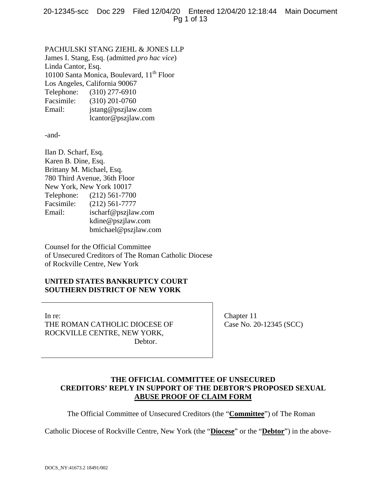PACHULSKI STANG ZIEHL & JONES LLP James I. Stang, Esq. (admitted *pro hac vice*) Linda Cantor, Esq. 10100 Santa Monica, Boulevard, 11<sup>th</sup> Floor Los Angeles, California 90067 Telephone: (310) 277-6910 Facsimile: (310) 201-0760 Email: jstang@pszjlaw.com lcantor@pszjlaw.com

-and-

Ilan D. Scharf, Esq. Karen B. Dine, Esq. Brittany M. Michael, Esq. 780 Third Avenue, 36th Floor New York, New York 10017 Telephone: (212) 561-7700 Facsimile: (212) 561-7777 Email: ischarf@pszjlaw.com kdine@pszjlaw.com bmichael@pszjlaw.com

Counsel for the Official Committee of Unsecured Creditors of The Roman Catholic Diocese of Rockville Centre, New York

## **UNITED STATES BANKRUPTCY COURT SOUTHERN DISTRICT OF NEW YORK**

In re: THE ROMAN CATHOLIC DIOCESE OF ROCKVILLE CENTRE, NEW YORK, Debtor.

Chapter 11 Case No. 20-12345 (SCC)

## **THE OFFICIAL COMMITTEE OF UNSECURED CREDITORS' REPLY IN SUPPORT OF THE DEBTOR'S PROPOSED SEXUAL ABUSE PROOF OF CLAIM FORM**

The Official Committee of Unsecured Creditors (the "**Committee**") of The Roman

Catholic Diocese of Rockville Centre, New York (the "**Diocese**" or the "**Debtor**") in the above-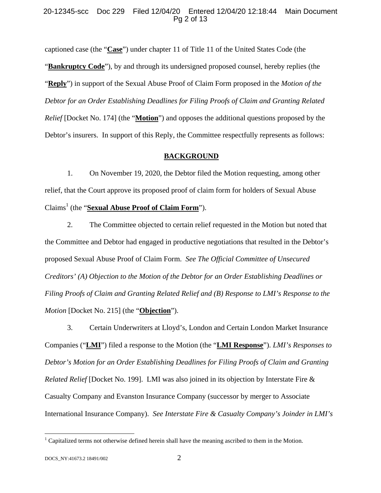### 20-12345-scc Doc 229 Filed 12/04/20 Entered 12/04/20 12:18:44 Main Document Pg 2 of 13

captioned case (the "**Case**") under chapter 11 of Title 11 of the United States Code (the "**Bankruptcy Code**"), by and through its undersigned proposed counsel, hereby replies (the "**Reply**") in support of the Sexual Abuse Proof of Claim Form proposed in the *Motion of the Debtor for an Order Establishing Deadlines for Filing Proofs of Claim and Granting Related Relief* [Docket No. 174] (the "**Motion**") and opposes the additional questions proposed by the Debtor's insurers. In support of this Reply, the Committee respectfully represents as follows:

#### **BACKGROUND**

1. On November 19, 2020, the Debtor filed the Motion requesting, among other relief, that the Court approve its proposed proof of claim form for holders of Sexual Abuse Claims<sup>1</sup> (the "**Sexual Abuse Proof of Claim Form**").

2. The Committee objected to certain relief requested in the Motion but noted that the Committee and Debtor had engaged in productive negotiations that resulted in the Debtor's proposed Sexual Abuse Proof of Claim Form. *See The Official Committee of Unsecured Creditors' (A) Objection to the Motion of the Debtor for an Order Establishing Deadlines or Filing Proofs of Claim and Granting Related Relief and (B) Response to LMI's Response to the Motion* [Docket No. 215] (the "**Objection**").

3. Certain Underwriters at Lloyd's, London and Certain London Market Insurance Companies ("**LMI**") filed a response to the Motion (the "**LMI Response**"). *LMI's Responses to Debtor's Motion for an Order Establishing Deadlines for Filing Proofs of Claim and Granting Related Relief* [Docket No. 199]. LMI was also joined in its objection by Interstate Fire & Casualty Company and Evanston Insurance Company (successor by merger to Associate International Insurance Company). *See Interstate Fire & Casualty Company's Joinder in LMI's* 

<sup>&</sup>lt;sup>1</sup> Capitalized terms not otherwise defined herein shall have the meaning ascribed to them in the Motion.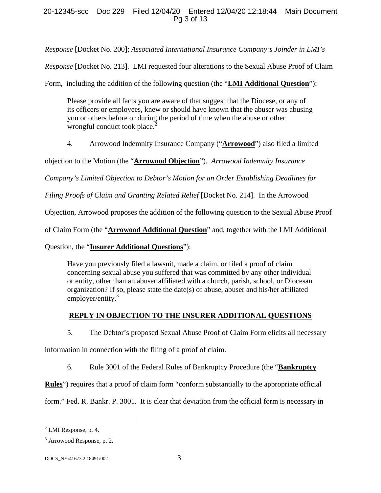## 20-12345-scc Doc 229 Filed 12/04/20 Entered 12/04/20 12:18:44 Main Document Pg 3 of 13

*Response* [Docket No. 200]; *Associated International Insurance Company's Joinder in LMI's* 

*Response* [Docket No. 213]. LMI requested four alterations to the Sexual Abuse Proof of Claim

Form, including the addition of the following question (the "**LMI Additional Question**"):

Please provide all facts you are aware of that suggest that the Diocese, or any of its officers or employees, knew or should have known that the abuser was abusing you or others before or during the period of time when the abuse or other wrongful conduct took place. $2$ 

4. Arrowood Indemnity Insurance Company ("**Arrowood**") also filed a limited

objection to the Motion (the "**Arrowood Objection**"). *Arrowood Indemnity Insurance* 

*Company's Limited Objection to Debtor's Motion for an Order Establishing Deadlines for* 

*Filing Proofs of Claim and Granting Related Relief* [Docket No. 214]. In the Arrowood

Objection, Arrowood proposes the addition of the following question to the Sexual Abuse Proof

of Claim Form (the "**Arrowood Additional Question**" and, together with the LMI Additional

Question, the "**Insurer Additional Questions**"):

Have you previously filed a lawsuit, made a claim, or filed a proof of claim concerning sexual abuse you suffered that was committed by any other individual or entity, other than an abuser affiliated with a church, parish, school, or Diocesan organization? If so, please state the date(s) of abuse, abuser and his/her affiliated employer/entity.<sup>3</sup>

# **REPLY IN OBJECTION TO THE INSURER ADDITIONAL QUESTIONS**

5. The Debtor's proposed Sexual Abuse Proof of Claim Form elicits all necessary

information in connection with the filing of a proof of claim.

6. Rule 3001 of the Federal Rules of Bankruptcy Procedure (the "**Bankruptcy** 

**Rules**") requires that a proof of claim form "conform substantially to the appropriate official

form." Fed. R. Bankr. P. 3001. It is clear that deviation from the official form is necessary in

 $<sup>2</sup>$  LMI Response, p. 4.</sup>

<sup>&</sup>lt;sup>3</sup> Arrowood Response, p. 2.

DOCS\_NY:41673.2 18491/002 3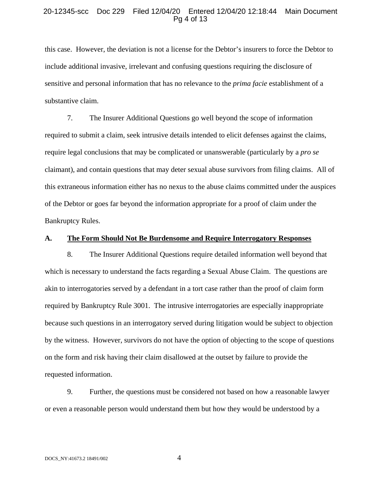#### 20-12345-scc Doc 229 Filed 12/04/20 Entered 12/04/20 12:18:44 Main Document Pg 4 of 13

this case. However, the deviation is not a license for the Debtor's insurers to force the Debtor to include additional invasive, irrelevant and confusing questions requiring the disclosure of sensitive and personal information that has no relevance to the *prima facie* establishment of a substantive claim.

7. The Insurer Additional Questions go well beyond the scope of information required to submit a claim, seek intrusive details intended to elicit defenses against the claims, require legal conclusions that may be complicated or unanswerable (particularly by a *pro se* claimant), and contain questions that may deter sexual abuse survivors from filing claims. All of this extraneous information either has no nexus to the abuse claims committed under the auspices of the Debtor or goes far beyond the information appropriate for a proof of claim under the Bankruptcy Rules.

## **A. The Form Should Not Be Burdensome and Require Interrogatory Responses**

8. The Insurer Additional Questions require detailed information well beyond that which is necessary to understand the facts regarding a Sexual Abuse Claim. The questions are akin to interrogatories served by a defendant in a tort case rather than the proof of claim form required by Bankruptcy Rule 3001. The intrusive interrogatories are especially inappropriate because such questions in an interrogatory served during litigation would be subject to objection by the witness. However, survivors do not have the option of objecting to the scope of questions on the form and risk having their claim disallowed at the outset by failure to provide the requested information.

9. Further, the questions must be considered not based on how a reasonable lawyer or even a reasonable person would understand them but how they would be understood by a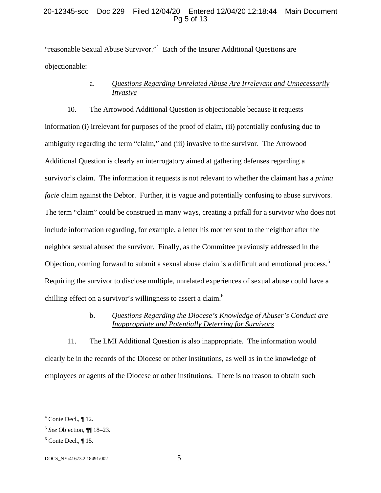## 20-12345-scc Doc 229 Filed 12/04/20 Entered 12/04/20 12:18:44 Main Document Pg 5 of 13

"reasonable Sexual Abuse Survivor."<sup>4</sup> Each of the Insurer Additional Questions are objectionable:

# a. *Questions Regarding Unrelated Abuse Are Irrelevant and Unnecessarily Invasive*

10. The Arrowood Additional Question is objectionable because it requests information (i) irrelevant for purposes of the proof of claim, (ii) potentially confusing due to ambiguity regarding the term "claim," and (iii) invasive to the survivor. The Arrowood Additional Question is clearly an interrogatory aimed at gathering defenses regarding a survivor's claim. The information it requests is not relevant to whether the claimant has a *prima facie* claim against the Debtor. Further, it is vague and potentially confusing to abuse survivors. The term "claim" could be construed in many ways, creating a pitfall for a survivor who does not include information regarding, for example, a letter his mother sent to the neighbor after the neighbor sexual abused the survivor. Finally, as the Committee previously addressed in the Objection, coming forward to submit a sexual abuse claim is a difficult and emotional process.<sup>5</sup> Requiring the survivor to disclose multiple, unrelated experiences of sexual abuse could have a chilling effect on a survivor's willingness to assert a claim.<sup>6</sup>

# b. *Questions Regarding the Diocese's Knowledge of Abuser's Conduct are Inappropriate and Potentially Deterring for Survivors*

11. The LMI Additional Question is also inappropriate. The information would clearly be in the records of the Diocese or other institutions, as well as in the knowledge of employees or agents of the Diocese or other institutions. There is no reason to obtain such

 $4^4$  Conte Decl., ¶ 12.

<sup>5</sup> *See* Objection, ¶¶ 18–23.

 $6$  Conte Decl.,  $\P$  15.

DOCS\_NY:41673.2 18491/002 5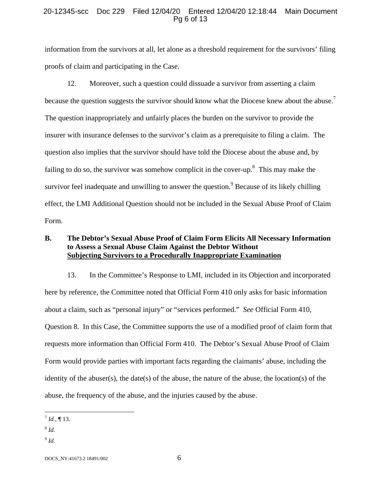### 20-12345-scc Doc 229 Filed 12/04/20 Entered 12/04/20 12:18:44 Main Document Pg 6 of 13

information from the survivors at all, let alone as a threshold requirement for the survivors' filing proofs of claim and participating in the Case.

12. Moreover, such a question could dissuade a survivor from asserting a claim because the question suggests the survivor should know what the Diocese knew about the abuse.<sup>7</sup> The question inappropriately and unfairly places the burden on the survivor to provide the insurer with insurance defenses to the survivor's claim as a prerequisite to filing a claim. The question also implies that the survivor should have told the Diocese about the abuse and, by failing to do so, the survivor was somehow complicit in the cover-up.<sup>8</sup> This may make the survivor feel inadequate and unwilling to answer the question.<sup>9</sup> Because of its likely chilling effect, the LMI Additional Question should not be included in the Sexual Abuse Proof of Claim Form.

## **B. The Debtor's Sexual Abuse Proof of Claim Form Elicits All Necessary Information to Assess a Sexual Abuse Claim Against the Debtor Without Subjecting Survivors to a Procedurally Inappropriate Examination**

13. In the Committee's Response to LMI, included in its Objection and incorporated here by reference, the Committee noted that Official Form 410 only asks for basic information about a claim, such as "personal injury" or "services performed." *See* Official Form 410, Question 8. In this Case, the Committee supports the use of a modified proof of claim form that requests more information than Official Form 410. The Debtor's Sexual Abuse Proof of Claim Form would provide parties with important facts regarding the claimants' abuse, including the identity of the abuser(s), the date(s) of the abuse, the nature of the abuse, the location(s) of the abuse, the frequency of the abuse, and the injuries caused by the abuse.

 $\overline{a}$  $^{7}$  *Id.*, ¶ 13.

<sup>8</sup> *Id.*

 $^{9}$  *Id.* 

DOCS\_NY:41673.2 18491/002 6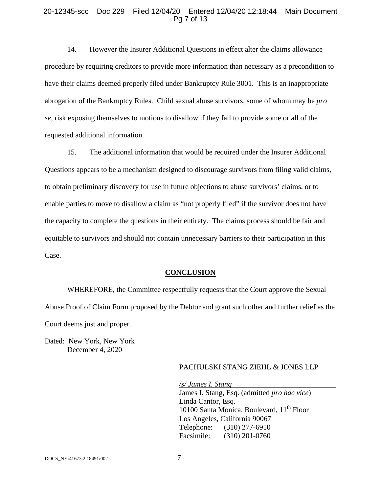#### 20-12345-scc Doc 229 Filed 12/04/20 Entered 12/04/20 12:18:44 Main Document Pg 7 of 13

14. However the Insurer Additional Questions in effect alter the claims allowance procedure by requiring creditors to provide more information than necessary as a precondition to have their claims deemed properly filed under Bankruptcy Rule 3001. This is an inappropriate abrogation of the Bankruptcy Rules. Child sexual abuse survivors, some of whom may be *pro se*, risk exposing themselves to motions to disallow if they fail to provide some or all of the requested additional information.

15. The additional information that would be required under the Insurer Additional Questions appears to be a mechanism designed to discourage survivors from filing valid claims, to obtain preliminary discovery for use in future objections to abuse survivors' claims, or to enable parties to move to disallow a claim as "not properly filed" if the survivor does not have the capacity to complete the questions in their entirety. The claims process should be fair and equitable to survivors and should not contain unnecessary barriers to their participation in this Case.

#### **CONCLUSION**

WHEREFORE, the Committee respectfully requests that the Court approve the Sexual Abuse Proof of Claim Form proposed by the Debtor and grant such other and further relief as the Court deems just and proper.

Dated: New York, New York December 4, 2020

#### PACHULSKI STANG ZIEHL & JONES LLP

*/s/ James I. Stang* 

James I. Stang, Esq. (admitted *pro hac vice*) Linda Cantor, Esq. 10100 Santa Monica, Boulevard,  $11<sup>th</sup>$  Floor Los Angeles, California 90067 Telephone: (310) 277-6910 Facsimile: (310) 201-0760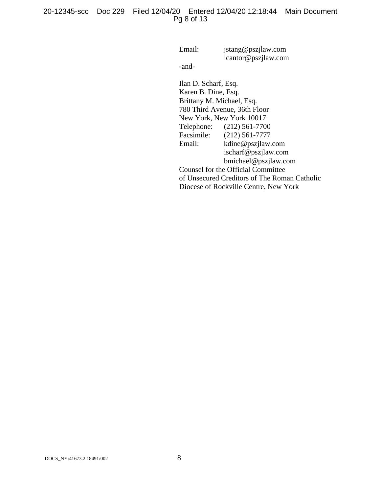## 20-12345-scc Doc 229 Filed 12/04/20 Entered 12/04/20 12:18:44 Main Document Pg 8 of 13

Email: jstang@pszjlaw.com lcantor@pszjlaw.com

-and-

Ilan D. Scharf, Esq. Karen B. Dine, Esq. Brittany M. Michael, Esq. 780 Third Avenue, 36th Floor New York, New York 10017<br>Telephone: (212) 561-770  $(212)$  561-7700 Facsimile: (212) 561-7777 Email: kdine@pszjlaw.com ischarf@pszjlaw.com bmichael@pszjlaw.com Counsel for the Official Committee of Unsecured Creditors of The Roman Catholic Diocese of Rockville Centre, New York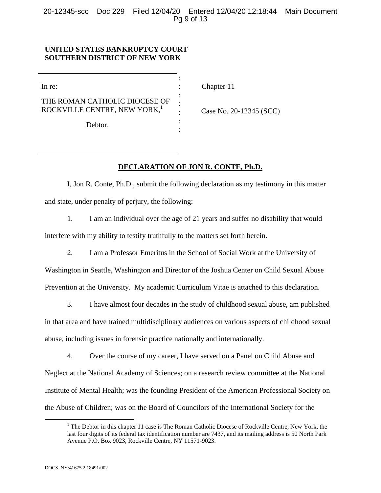20-12345-scc Doc 229 Filed 12/04/20 Entered 12/04/20 12:18:44 Main Document Pg 9 of 13

> : : : : : : :

### **UNITED STATES BANKRUPTCY COURT SOUTHERN DISTRICT OF NEW YORK**

In re:

THE ROMAN CATHOLIC DIOCESE OF ROCKVILLE CENTRE, NEW YORK,<sup>1</sup>

Debtor.

Chapter 11

Case No. 20-12345 (SCC)

## **DECLARATION OF JON R. CONTE, Ph.D.**

I, Jon R. Conte, Ph.D., submit the following declaration as my testimony in this matter and state, under penalty of perjury, the following:

1. I am an individual over the age of 21 years and suffer no disability that would interfere with my ability to testify truthfully to the matters set forth herein.

2. I am a Professor Emeritus in the School of Social Work at the University of

Washington in Seattle, Washington and Director of the Joshua Center on Child Sexual Abuse Prevention at the University. My academic Curriculum Vitae is attached to this declaration.

3. I have almost four decades in the study of childhood sexual abuse, am published in that area and have trained multidisciplinary audiences on various aspects of childhood sexual abuse, including issues in forensic practice nationally and internationally.

4. Over the course of my career, I have served on a Panel on Child Abuse and Neglect at the National Academy of Sciences; on a research review committee at the National Institute of Mental Health; was the founding President of the American Professional Society on the Abuse of Children; was on the Board of Councilors of the International Society for the

 $\frac{1}{1}$ <sup>1</sup> The Debtor in this chapter 11 case is The Roman Catholic Diocese of Rockville Centre, New York, the last four digits of its federal tax identification number are 7437, and its mailing address is 50 North Park Avenue P.O. Box 9023, Rockville Centre, NY 11571-9023.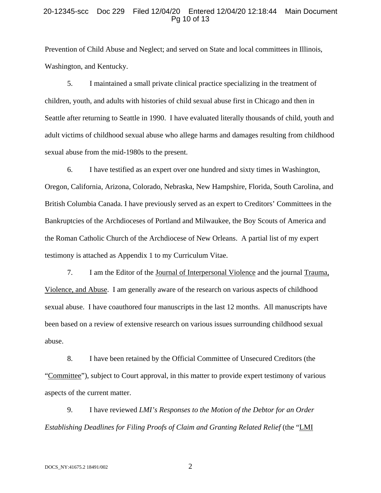#### 20-12345-scc Doc 229 Filed 12/04/20 Entered 12/04/20 12:18:44 Main Document Pg 10 of 13

Prevention of Child Abuse and Neglect; and served on State and local committees in Illinois, Washington, and Kentucky.

5. I maintained a small private clinical practice specializing in the treatment of children, youth, and adults with histories of child sexual abuse first in Chicago and then in Seattle after returning to Seattle in 1990. I have evaluated literally thousands of child, youth and adult victims of childhood sexual abuse who allege harms and damages resulting from childhood sexual abuse from the mid-1980s to the present.

6. I have testified as an expert over one hundred and sixty times in Washington, Oregon, California, Arizona, Colorado, Nebraska, New Hampshire, Florida, South Carolina, and British Columbia Canada. I have previously served as an expert to Creditors' Committees in the Bankruptcies of the Archdioceses of Portland and Milwaukee, the Boy Scouts of America and the Roman Catholic Church of the Archdiocese of New Orleans. A partial list of my expert testimony is attached as Appendix 1 to my Curriculum Vitae.

7. I am the Editor of the Journal of Interpersonal Violence and the journal Trauma, Violence, and Abuse. I am generally aware of the research on various aspects of childhood sexual abuse. I have coauthored four manuscripts in the last 12 months. All manuscripts have been based on a review of extensive research on various issues surrounding childhood sexual abuse.

8. I have been retained by the Official Committee of Unsecured Creditors (the "Committee"), subject to Court approval, in this matter to provide expert testimony of various aspects of the current matter.

9. I have reviewed *LMI's Responses to the Motion of the Debtor for an Order Establishing Deadlines for Filing Proofs of Claim and Granting Related Relief* (the "LMI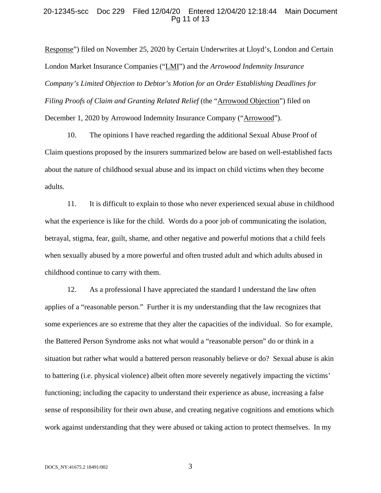#### 20-12345-scc Doc 229 Filed 12/04/20 Entered 12/04/20 12:18:44 Main Document Pg 11 of 13

Response") filed on November 25, 2020 by Certain Underwrites at Lloyd's, London and Certain London Market Insurance Companies ("LMI") and the *Arrowood Indemnity Insurance Company's Limited Objection to Debtor's Motion for an Order Establishing Deadlines for Filing Proofs of Claim and Granting Related Relief* (the "Arrowood Objection") filed on December 1, 2020 by Arrowood Indemnity Insurance Company ("Arrowood").

10. The opinions I have reached regarding the additional Sexual Abuse Proof of Claim questions proposed by the insurers summarized below are based on well-established facts about the nature of childhood sexual abuse and its impact on child victims when they become adults.

11. It is difficult to explain to those who never experienced sexual abuse in childhood what the experience is like for the child. Words do a poor job of communicating the isolation, betrayal, stigma, fear, guilt, shame, and other negative and powerful motions that a child feels when sexually abused by a more powerful and often trusted adult and which adults abused in childhood continue to carry with them.

12. As a professional I have appreciated the standard I understand the law often applies of a "reasonable person." Further it is my understanding that the law recognizes that some experiences are so extreme that they alter the capacities of the individual. So for example, the Battered Person Syndrome asks not what would a "reasonable person" do or think in a situation but rather what would a battered person reasonably believe or do? Sexual abuse is akin to battering (i.e. physical violence) albeit often more severely negatively impacting the victims' functioning; including the capacity to understand their experience as abuse, increasing a false sense of responsibility for their own abuse, and creating negative cognitions and emotions which work against understanding that they were abused or taking action to protect themselves. In my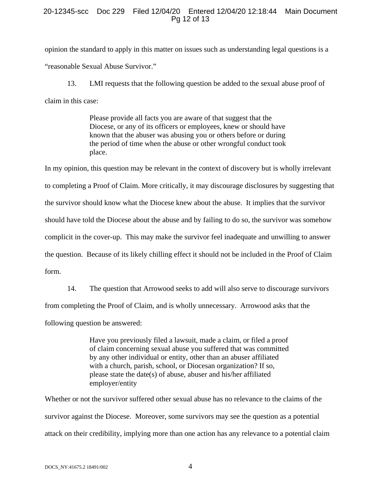### 20-12345-scc Doc 229 Filed 12/04/20 Entered 12/04/20 12:18:44 Main Document Pg 12 of 13

opinion the standard to apply in this matter on issues such as understanding legal questions is a "reasonable Sexual Abuse Survivor."

13. LMI requests that the following question be added to the sexual abuse proof of claim in this case:

> Please provide all facts you are aware of that suggest that the Diocese, or any of its officers or employees, knew or should have known that the abuser was abusing you or others before or during the period of time when the abuse or other wrongful conduct took place.

In my opinion, this question may be relevant in the context of discovery but is wholly irrelevant to completing a Proof of Claim. More critically, it may discourage disclosures by suggesting that the survivor should know what the Diocese knew about the abuse. It implies that the survivor should have told the Diocese about the abuse and by failing to do so, the survivor was somehow complicit in the cover-up. This may make the survivor feel inadequate and unwilling to answer the question. Because of its likely chilling effect it should not be included in the Proof of Claim form.

14. The question that Arrowood seeks to add will also serve to discourage survivors from completing the Proof of Claim, and is wholly unnecessary. Arrowood asks that the following question be answered:

> Have you previously filed a lawsuit, made a claim, or filed a proof of claim concerning sexual abuse you suffered that was committed by any other individual or entity, other than an abuser affiliated with a church, parish, school, or Diocesan organization? If so, please state the date(s) of abuse, abuser and his/her affiliated employer/entity

Whether or not the survivor suffered other sexual abuse has no relevance to the claims of the survivor against the Diocese. Moreover, some survivors may see the question as a potential attack on their credibility, implying more than one action has any relevance to a potential claim